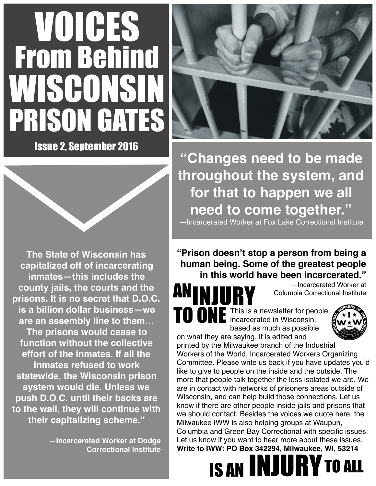# From Behind WISCONSIN PRISON GATES VOICES

Issue 2, September 2016

**The State of Wisconsin has capitalized off of incarcerating inmates—this includes the county jails, the courts and the prisons. It is no secret that D.O.C. is a billion dollar business—we are an assembly line to them… The prisons would cease to function without the collective effort of the inmates. If all the inmates refused to work statewide, the Wisconsin prison system would die. Unless we push D.O.C. until their backs are to the wall, they will continue with their capitalizing scheme."**

> **—Incarcerated Worker at Dodge Correctional Institute**



**"Changes need to be made throughout the system, and for that to happen we all need to come together."** —Incarcerated Worker at Fox Lake Correctional Institute

**"Prison doesn't stop a person from being a human being. Some of the greatest people in this world have been incarcerated."**

ANINJURY

—Incarcerated Worker at Columbia Correctional Institute

This is a newsletter for people **TO ONE** This is a newsletter for peo based as much as possible



on what they are saying. It is edited and printed by the Milwaukee branch of the Industrial Workers of the World, Incarcerated Workers Organizing Committee. Please write us back if you have updates you'd like to give to people on the inside and the outside. The more that people talk together the less isolated we are. We are in contact with networks of prisoners areas outside of Wisconsin, and can help build those connections. Let us know if there are other people inside jails and prisons that we should contact. Besides the voices we quote here, the Milwaukee IWW is also helping groups at Waupun, Columbia and Green Bay Correctional with specific issues. Let us know if you want to hear more about these issues. **Write to IWW: PO Box 342294, Milwaukee, WI, 53214**

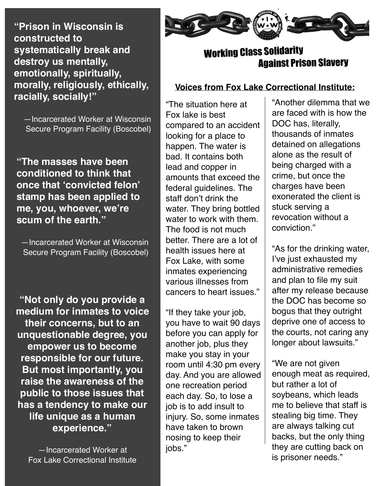**"Prison in Wisconsin is constructed to systematically break and destroy us mentally, emotionally, spiritually, morally, religiously, ethically, racially, socially!"**

—Incarcerated Worker at Wisconsin Secure Program Facility (Boscobel)

**"The masses have been conditioned to think that once that 'convicted felon' stamp has been applied to me, you, whoever, we're scum of the earth."**

—Incarcerated Worker at Wisconsin Secure Program Facility (Boscobel)

**"Not only do you provide a medium for inmates to voice their concerns, but to an unquestionable degree, you empower us to become responsible for our future. But most importantly, you raise the awareness of the public to those issues that has a tendency to make our life unique as a human experience."**

—Incarcerated Worker at Fox Lake Correctional Institute



## Against Prison Slavery Working Class Solidarity

#### **Voices from Fox Lake Correctional Institute:**

"The situation here at Fox lake is best compared to an accident looking for a place to happen. The water is bad. It contains both lead and copper in amounts that exceed the federal guidelines. The staff don't drink the water. They bring bottled water to work with them. The food is not much better. There are a lot of health issues here at Fox Lake, with some inmates experiencing various illnesses from cancers to heart issues."

"If they take your job, you have to wait 90 days before you can apply for another job, plus they make you stay in your room until 4:30 pm every day. And you are allowed one recreation period each day. So, to lose a job is to add insult to injury. So, some inmates have taken to brown nosing to keep their jobs."

"Another dilemma that we are faced with is how the DOC has, literally, thousands of inmates detained on allegations alone as the result of being charged with a crime, but once the charges have been exonerated the client is stuck serving a revocation without a conviction."

"As for the drinking water, I've just exhausted my administrative remedies and plan to file my suit after my release because the DOC has become so bogus that they outright deprive one of access to the courts, not caring any longer about lawsuits."

"We are not given enough meat as required, but rather a lot of soybeans, which leads me to believe that staff is stealing big time. They are always talking cut backs, but the only thing they are cutting back on is prisoner needs."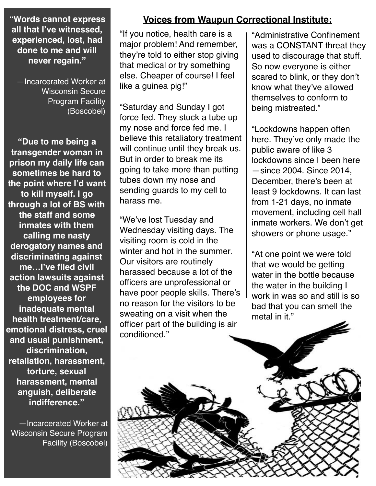**all that I've witnessed, experienced, lost, had done to me and will never regain."**

—Incarcerated Worker at Wisconsin Secure Program Facility (Boscobel)

**"Due to me being a transgender woman in prison my daily life can sometimes be hard to the point where I'd want to kill myself. I go through a lot of BS with the staff and some inmates with them calling me nasty derogatory names and discriminating against me…I've filed civil action lawsuits against the DOC and WSPF employees for inadequate mental health treatment/care, emotional distress, cruel and usual punishment, discrimination, retaliation, harassment, torture, sexual harassment, mental anguish, deliberate indifference."**

—Incarcerated Worker at Wisconsin Secure Program Facility (Boscobel)

### **"Words cannot express Voices from Waupun Correctional Institute:**

"If you notice, health care is a major problem! And remember, they're told to either stop giving that medical or try something else. Cheaper of course! I feel like a guinea pig!"

"Saturday and Sunday I got force fed. They stuck a tube up my nose and force fed me. I believe this retaliatory treatment will continue until they break us. But in order to break me its going to take more than putting tubes down my nose and sending guards to my cell to harass me.

"We've lost Tuesday and Wednesday visiting days. The visiting room is cold in the winter and hot in the summer. Our visitors are routinely harassed because a lot of the officers are unprofessional or have poor people skills. There's no reason for the visitors to be sweating on a visit when the officer part of the building is air conditioned."

"Administrative Confinement was a CONSTANT threat they used to discourage that stuff. So now everyone is either scared to blink, or they don't know what they've allowed themselves to conform to being mistreated."

"Lockdowns happen often here. They've only made the public aware of like 3 lockdowns since I been here —since 2004. Since 2014, December, there's been at least 9 lockdowns. It can last from 1-21 days, no inmate movement, including cell hall inmate workers. We don't get showers or phone usage."

"At one point we were told that we would be getting water in the bottle because the water in the building I work in was so and still is so bad that you can smell the metal in it."